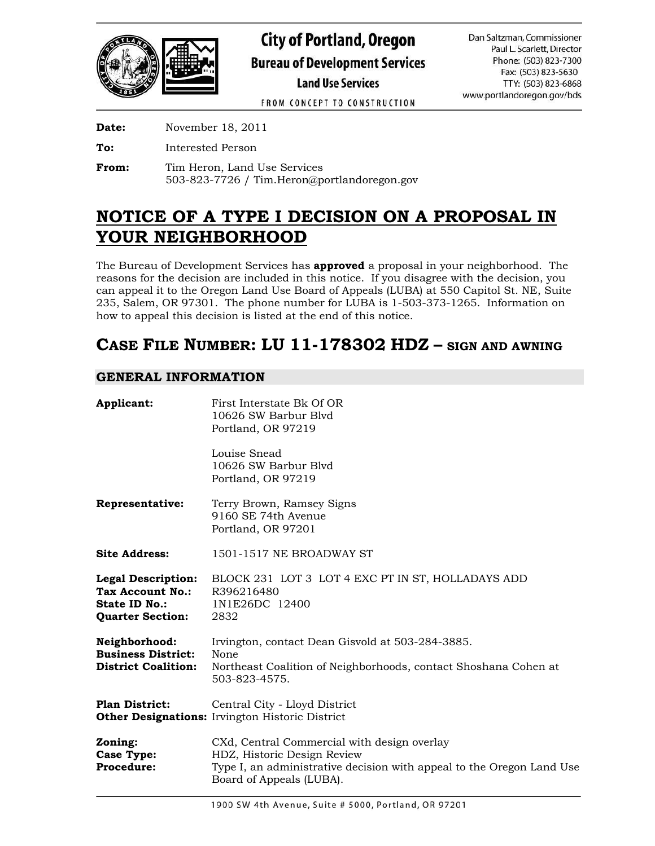

FROM CONCEPT TO CONSTRUCTION

**Date:** November 18, 2011

**To:** Interested Person

From: Tim Heron, Land Use Services 503-823-7726 / Tim.Heron@portlandoregon.gov

# **NOTICE OF A TYPE I DECISION ON A PROPOSAL IN YOUR NEIGHBORHOOD**

The Bureau of Development Services has **approved** a proposal in your neighborhood. The reasons for the decision are included in this notice. If you disagree with the decision, you can appeal it to the Oregon Land Use Board of Appeals (LUBA) at 550 Capitol St. NE, Suite 235, Salem, OR 97301. The phone number for LUBA is 1-503-373-1265. Information on how to appeal this decision is listed at the end of this notice.

# **CASE FILE NUMBER: LU 11-178302 HDZ – SIGN AND AWNING**

# **GENERAL INFORMATION**

| Applicant:                                                                                       | First Interstate Bk Of OR<br>10626 SW Barbur Blvd<br>Portland, OR 97219                                                                                                         |  |
|--------------------------------------------------------------------------------------------------|---------------------------------------------------------------------------------------------------------------------------------------------------------------------------------|--|
|                                                                                                  | Louise Snead<br>10626 SW Barbur Blvd<br>Portland, OR 97219                                                                                                                      |  |
| <b>Representative:</b>                                                                           | Terry Brown, Ramsey Signs<br>9160 SE 74th Avenue<br>Portland, OR 97201                                                                                                          |  |
| <b>Site Address:</b>                                                                             | 1501-1517 NE BROADWAY ST                                                                                                                                                        |  |
| <b>Legal Description:</b><br>Tax Account No.:<br><b>State ID No.:</b><br><b>Quarter Section:</b> | BLOCK 231 LOT 3 LOT 4 EXC PT IN ST, HOLLADAYS ADD<br>R396216480<br>1N1E26DC 12400<br>2832                                                                                       |  |
| Neighborhood:<br><b>Business District:</b><br><b>District Coalition:</b>                         | Irvington, contact Dean Gisvold at 503-284-3885.<br>None<br>Northeast Coalition of Neighborhoods, contact Shoshana Cohen at<br>503-823-4575.                                    |  |
| <b>Plan District:</b>                                                                            | Central City - Lloyd District<br><b>Other Designations:</b> Irvington Historic District                                                                                         |  |
| Zoning:<br><b>Case Type:</b><br>Procedure:                                                       | CXd, Central Commercial with design overlay<br>HDZ, Historic Design Review<br>Type I, an administrative decision with appeal to the Oregon Land Use<br>Board of Appeals (LUBA). |  |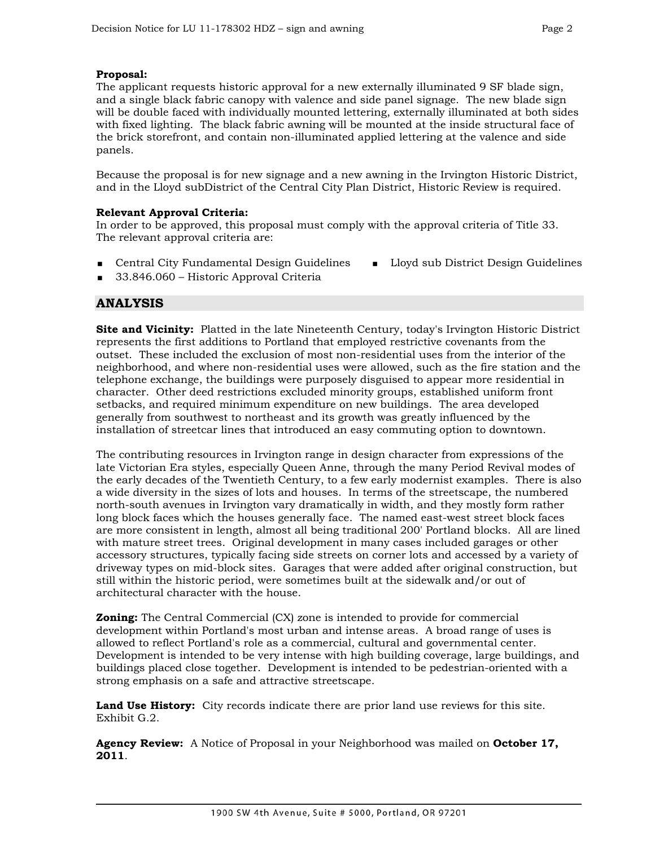## **Proposal:**

The applicant requests historic approval for a new externally illuminated 9 SF blade sign, and a single black fabric canopy with valence and side panel signage. The new blade sign will be double faced with individually mounted lettering, externally illuminated at both sides with fixed lighting. The black fabric awning will be mounted at the inside structural face of the brick storefront, and contain non-illuminated applied lettering at the valence and side panels.

Because the proposal is for new signage and a new awning in the Irvington Historic District, and in the Lloyd subDistrict of the Central City Plan District, Historic Review is required.

## **Relevant Approval Criteria:**

In order to be approved, this proposal must comply with the approval criteria of Title 33. The relevant approval criteria are:

- Central City Fundamental Design Guidelines Lloyd sub District Design Guidelines
	-
- 33.846.060 Historic Approval Criteria

# **ANALYSIS**

**Site and Vicinity:** Platted in the late Nineteenth Century, today's Irvington Historic District represents the first additions to Portland that employed restrictive covenants from the outset. These included the exclusion of most non-residential uses from the interior of the neighborhood, and where non-residential uses were allowed, such as the fire station and the telephone exchange, the buildings were purposely disguised to appear more residential in character. Other deed restrictions excluded minority groups, established uniform front setbacks, and required minimum expenditure on new buildings. The area developed generally from southwest to northeast and its growth was greatly influenced by the installation of streetcar lines that introduced an easy commuting option to downtown.

The contributing resources in Irvington range in design character from expressions of the late Victorian Era styles, especially Queen Anne, through the many Period Revival modes of the early decades of the Twentieth Century, to a few early modernist examples. There is also a wide diversity in the sizes of lots and houses. In terms of the streetscape, the numbered north-south avenues in Irvington vary dramatically in width, and they mostly form rather long block faces which the houses generally face. The named east-west street block faces are more consistent in length, almost all being traditional 200' Portland blocks. All are lined with mature street trees. Original development in many cases included garages or other accessory structures, typically facing side streets on corner lots and accessed by a variety of driveway types on mid-block sites. Garages that were added after original construction, but still within the historic period, were sometimes built at the sidewalk and/or out of architectural character with the house.

**Zoning:** The Central Commercial (CX) zone is intended to provide for commercial development within Portland's most urban and intense areas. A broad range of uses is allowed to reflect Portland's role as a commercial, cultural and governmental center. Development is intended to be very intense with high building coverage, large buildings, and buildings placed close together. Development is intended to be pedestrian-oriented with a strong emphasis on a safe and attractive streetscape.

Land Use History: City records indicate there are prior land use reviews for this site. Exhibit G.2.

**Agency Review:** A Notice of Proposal in your Neighborhood was mailed on **October 17, 2011**.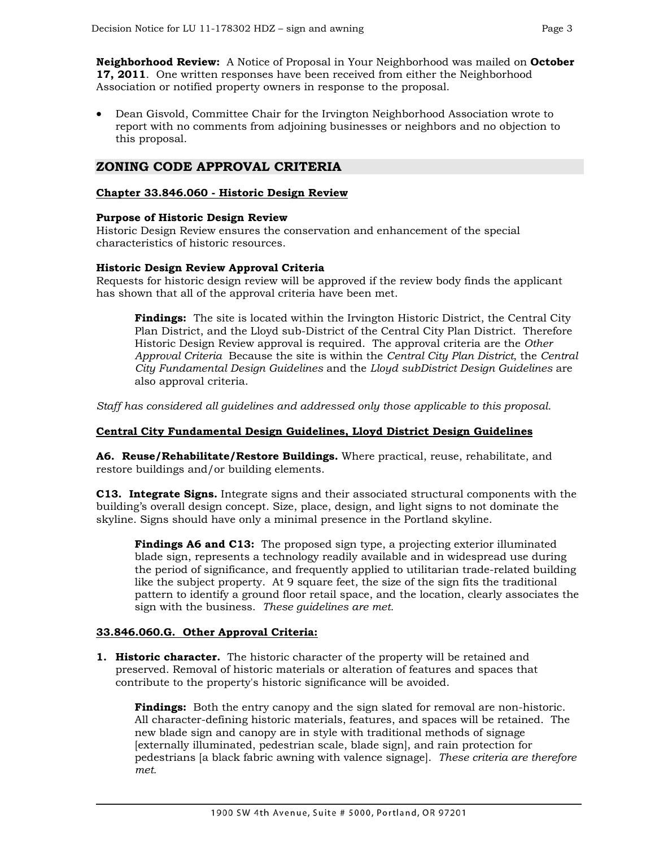**Neighborhood Review:** A Notice of Proposal in Your Neighborhood was mailed on **October 17, 2011**. One written responses have been received from either the Neighborhood Association or notified property owners in response to the proposal.

• Dean Gisvold, Committee Chair for the Irvington Neighborhood Association wrote to report with no comments from adjoining businesses or neighbors and no objection to this proposal.

# **ZONING CODE APPROVAL CRITERIA**

## **Chapter 33.846.060 - Historic Design Review**

## **Purpose of Historic Design Review**

Historic Design Review ensures the conservation and enhancement of the special characteristics of historic resources.

## **Historic Design Review Approval Criteria**

Requests for historic design review will be approved if the review body finds the applicant has shown that all of the approval criteria have been met.

**Findings:** The site is located within the Irvington Historic District, the Central City Plan District, and the Lloyd sub-District of the Central City Plan District. Therefore Historic Design Review approval is required. The approval criteria are the *Other Approval Criteria* Because the site is within the *Central City Plan District*, the *Central City Fundamental Design Guidelines* and the *Lloyd subDistrict Design Guidelines* are also approval criteria.

*Staff has considered all guidelines and addressed only those applicable to this proposal.* 

# **Central City Fundamental Design Guidelines, Lloyd District Design Guidelines**

**A6. Reuse/Rehabilitate/Restore Buildings.** Where practical, reuse, rehabilitate, and restore buildings and/or building elements.

**C13. Integrate Signs.** Integrate signs and their associated structural components with the building's overall design concept. Size, place, design, and light signs to not dominate the skyline. Signs should have only a minimal presence in the Portland skyline.

**Findings A6 and C13:** The proposed sign type, a projecting exterior illuminated blade sign, represents a technology readily available and in widespread use during the period of significance, and frequently applied to utilitarian trade-related building like the subject property. At 9 square feet, the size of the sign fits the traditional pattern to identify a ground floor retail space, and the location, clearly associates the sign with the business. *These guidelines are met.* 

# **33.846.060.G. Other Approval Criteria:**

**1. Historic character.** The historic character of the property will be retained and preserved. Removal of historic materials or alteration of features and spaces that contribute to the property's historic significance will be avoided.

**Findings:** Both the entry canopy and the sign slated for removal are non-historic. All character-defining historic materials, features, and spaces will be retained. The new blade sign and canopy are in style with traditional methods of signage [externally illuminated, pedestrian scale, blade sign], and rain protection for pedestrians [a black fabric awning with valence signage]. *These criteria are therefore met.*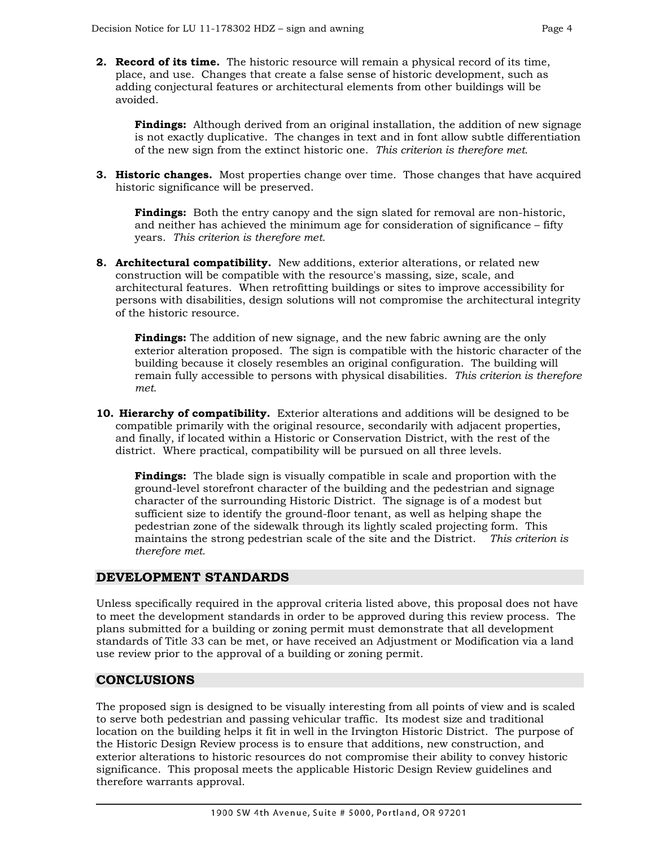**2. Record of its time.** The historic resource will remain a physical record of its time, place, and use. Changes that create a false sense of historic development, such as adding conjectural features or architectural elements from other buildings will be avoided.

**Findings:** Although derived from an original installation, the addition of new signage is not exactly duplicative. The changes in text and in font allow subtle differentiation of the new sign from the extinct historic one. *This criterion is therefore met.* 

**3. Historic changes.** Most properties change over time. Those changes that have acquired historic significance will be preserved.

**Findings:** Both the entry canopy and the sign slated for removal are non-historic, and neither has achieved the minimum age for consideration of significance – fifty years. *This criterion is therefore met.* 

**8. Architectural compatibility.** New additions, exterior alterations, or related new construction will be compatible with the resource's massing, size, scale, and architectural features. When retrofitting buildings or sites to improve accessibility for persons with disabilities, design solutions will not compromise the architectural integrity of the historic resource.

**Findings:** The addition of new signage, and the new fabric awning are the only exterior alteration proposed. The sign is compatible with the historic character of the building because it closely resembles an original configuration. The building will remain fully accessible to persons with physical disabilities. *This criterion is therefore met.* 

**10. Hierarchy of compatibility.** Exterior alterations and additions will be designed to be compatible primarily with the original resource, secondarily with adjacent properties, and finally, if located within a Historic or Conservation District, with the rest of the district. Where practical, compatibility will be pursued on all three levels.

**Findings:** The blade sign is visually compatible in scale and proportion with the ground-level storefront character of the building and the pedestrian and signage character of the surrounding Historic District. The signage is of a modest but sufficient size to identify the ground-floor tenant, as well as helping shape the pedestrian zone of the sidewalk through its lightly scaled projecting form. This maintains the strong pedestrian scale of the site and the District. *This criterion is therefore met.* 

# **DEVELOPMENT STANDARDS**

Unless specifically required in the approval criteria listed above, this proposal does not have to meet the development standards in order to be approved during this review process. The plans submitted for a building or zoning permit must demonstrate that all development standards of Title 33 can be met, or have received an Adjustment or Modification via a land use review prior to the approval of a building or zoning permit.

# **CONCLUSIONS**

The proposed sign is designed to be visually interesting from all points of view and is scaled to serve both pedestrian and passing vehicular traffic. Its modest size and traditional location on the building helps it fit in well in the Irvington Historic District. The purpose of the Historic Design Review process is to ensure that additions, new construction, and exterior alterations to historic resources do not compromise their ability to convey historic significance. This proposal meets the applicable Historic Design Review guidelines and therefore warrants approval.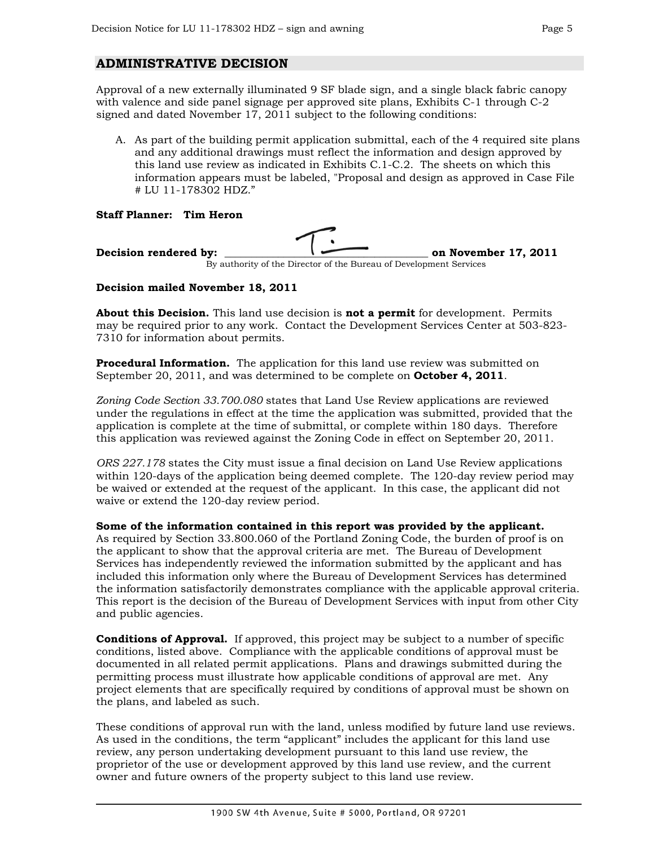# **ADMINISTRATIVE DECISION**

Approval of a new externally illuminated 9 SF blade sign, and a single black fabric canopy with valence and side panel signage per approved site plans, Exhibits C-1 through C-2 signed and dated November 17, 2011 subject to the following conditions:

A. As part of the building permit application submittal, each of the 4 required site plans and any additional drawings must reflect the information and design approved by this land use review as indicated in Exhibits C.1-C.2. The sheets on which this information appears must be labeled, "Proposal and design as approved in Case File # LU 11-178302 HDZ."

#### **Staff Planner: Tim Heron**

**Decision rendered by: \_\_\_\_\_\_\_\_\_\_\_\_\_\_\_\_\_\_\_\_\_\_\_\_\_\_\_\_\_\_\_\_\_\_\_\_\_\_ on November 17, 2011** 

By authority of the Director of the Bureau of Development Services

## **Decision mailed November 18, 2011**

**About this Decision.** This land use decision is **not a permit** for development. Permits may be required prior to any work. Contact the Development Services Center at 503-823- 7310 for information about permits.

**Procedural Information.** The application for this land use review was submitted on September 20, 2011, and was determined to be complete on **October 4, 2011**.

*Zoning Code Section 33.700.080* states that Land Use Review applications are reviewed under the regulations in effect at the time the application was submitted, provided that the application is complete at the time of submittal, or complete within 180 days. Therefore this application was reviewed against the Zoning Code in effect on September 20, 2011.

*ORS 227.178* states the City must issue a final decision on Land Use Review applications within 120-days of the application being deemed complete. The 120-day review period may be waived or extended at the request of the applicant. In this case, the applicant did not waive or extend the 120-day review period.

## **Some of the information contained in this report was provided by the applicant.**

As required by Section 33.800.060 of the Portland Zoning Code, the burden of proof is on the applicant to show that the approval criteria are met. The Bureau of Development Services has independently reviewed the information submitted by the applicant and has included this information only where the Bureau of Development Services has determined the information satisfactorily demonstrates compliance with the applicable approval criteria. This report is the decision of the Bureau of Development Services with input from other City and public agencies.

**Conditions of Approval.** If approved, this project may be subject to a number of specific conditions, listed above. Compliance with the applicable conditions of approval must be documented in all related permit applications. Plans and drawings submitted during the permitting process must illustrate how applicable conditions of approval are met. Any project elements that are specifically required by conditions of approval must be shown on the plans, and labeled as such.

These conditions of approval run with the land, unless modified by future land use reviews. As used in the conditions, the term "applicant" includes the applicant for this land use review, any person undertaking development pursuant to this land use review, the proprietor of the use or development approved by this land use review, and the current owner and future owners of the property subject to this land use review.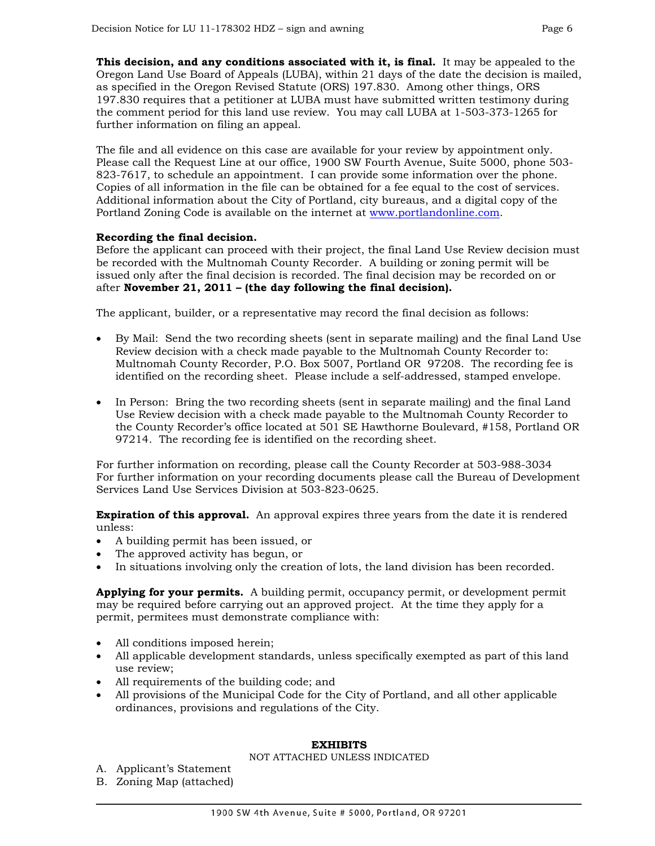**This decision, and any conditions associated with it, is final.** It may be appealed to the Oregon Land Use Board of Appeals (LUBA), within 21 days of the date the decision is mailed, as specified in the Oregon Revised Statute (ORS) 197.830. Among other things, ORS 197.830 requires that a petitioner at LUBA must have submitted written testimony during the comment period for this land use review. You may call LUBA at 1-503-373-1265 for further information on filing an appeal.

The file and all evidence on this case are available for your review by appointment only. Please call the Request Line at our office, 1900 SW Fourth Avenue, Suite 5000, phone 503- 823-7617, to schedule an appointment. I can provide some information over the phone. Copies of all information in the file can be obtained for a fee equal to the cost of services. Additional information about the City of Portland, city bureaus, and a digital copy of the Portland Zoning Code is available on the internet at [www.portlandonline.com](http://www.portlandonline.com/).

# **Recording the final decision.**

Before the applicant can proceed with their project, the final Land Use Review decision must be recorded with the Multnomah County Recorder. A building or zoning permit will be issued only after the final decision is recorded. The final decision may be recorded on or after **November 21, 2011 – (the day following the final decision).** 

The applicant, builder, or a representative may record the final decision as follows:

- By Mail: Send the two recording sheets (sent in separate mailing) and the final Land Use Review decision with a check made payable to the Multnomah County Recorder to: Multnomah County Recorder, P.O. Box 5007, Portland OR 97208. The recording fee is identified on the recording sheet. Please include a self-addressed, stamped envelope.
- In Person: Bring the two recording sheets (sent in separate mailing) and the final Land Use Review decision with a check made payable to the Multnomah County Recorder to the County Recorder's office located at 501 SE Hawthorne Boulevard, #158, Portland OR 97214. The recording fee is identified on the recording sheet.

For further information on recording, please call the County Recorder at 503-988-3034 For further information on your recording documents please call the Bureau of Development Services Land Use Services Division at 503-823-0625.

**Expiration of this approval.** An approval expires three years from the date it is rendered unless:

- A building permit has been issued, or
- The approved activity has begun, or
- In situations involving only the creation of lots, the land division has been recorded.

**Applying for your permits.** A building permit, occupancy permit, or development permit may be required before carrying out an approved project. At the time they apply for a permit, permitees must demonstrate compliance with:

- All conditions imposed herein;
- All applicable development standards, unless specifically exempted as part of this land use review;
- All requirements of the building code; and
- All provisions of the Municipal Code for the City of Portland, and all other applicable ordinances, provisions and regulations of the City.

#### **EXHIBITS**

NOT ATTACHED UNLESS INDICATED

- A. Applicant's Statement
- B. Zoning Map (attached)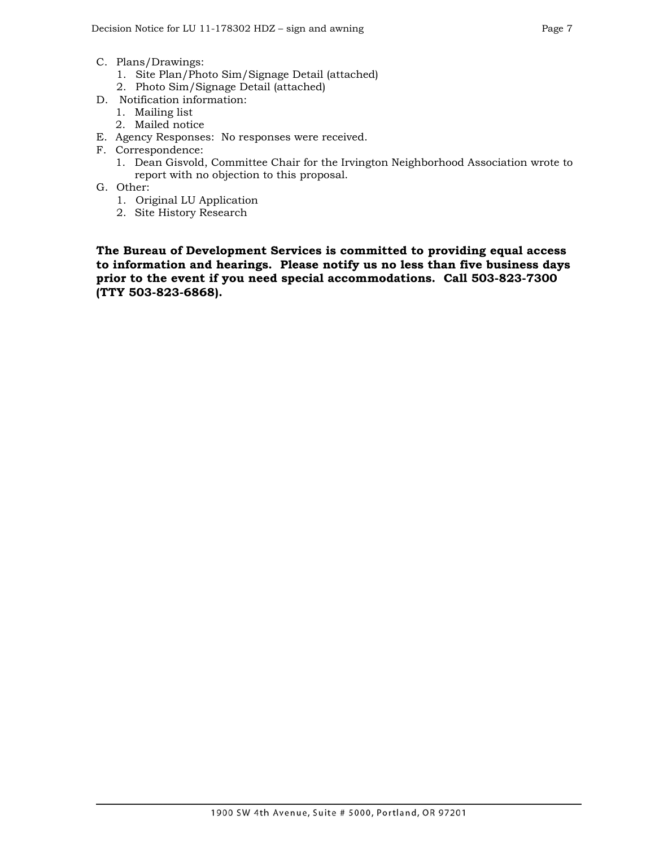- C. Plans/Drawings:
	- 1. Site Plan/Photo Sim/Signage Detail (attached)
	- 2. Photo Sim/Signage Detail (attached)
- D. Notification information:
	- 1. Mailing list
	- 2. Mailed notice
- E. Agency Responses: No responses were received.
- F. Correspondence:
	- 1. Dean Gisvold, Committee Chair for the Irvington Neighborhood Association wrote to report with no objection to this proposal.
- G. Other:
	- 1. Original LU Application
	- 2. Site History Research

**The Bureau of Development Services is committed to providing equal access to information and hearings. Please notify us no less than five business days prior to the event if you need special accommodations. Call 503-823-7300 (TTY 503-823-6868).**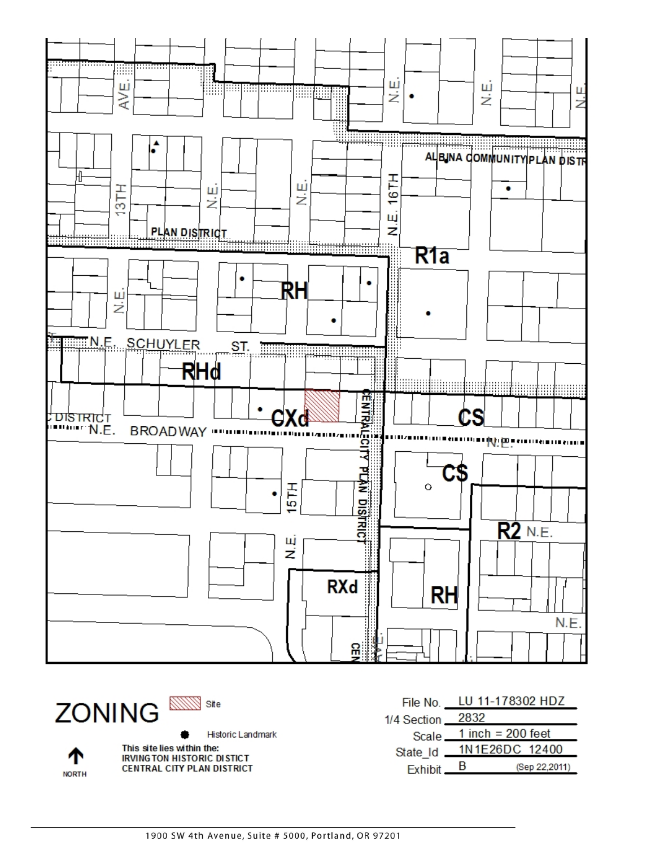



|                  | File No. LU 11-178302 HDZ  |
|------------------|----------------------------|
| 1/4 Section 2832 |                            |
|                  | Scale $1$ inch = 200 feet  |
|                  | State Id __ 1N1E26DC_12400 |
| Exhibit $B$      | (Sep 22,2011)              |
|                  |                            |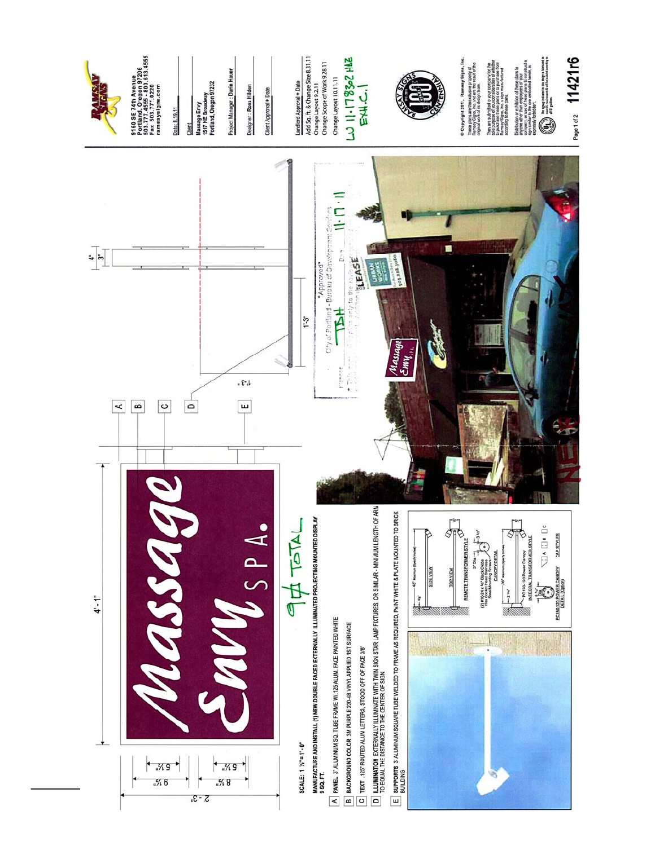